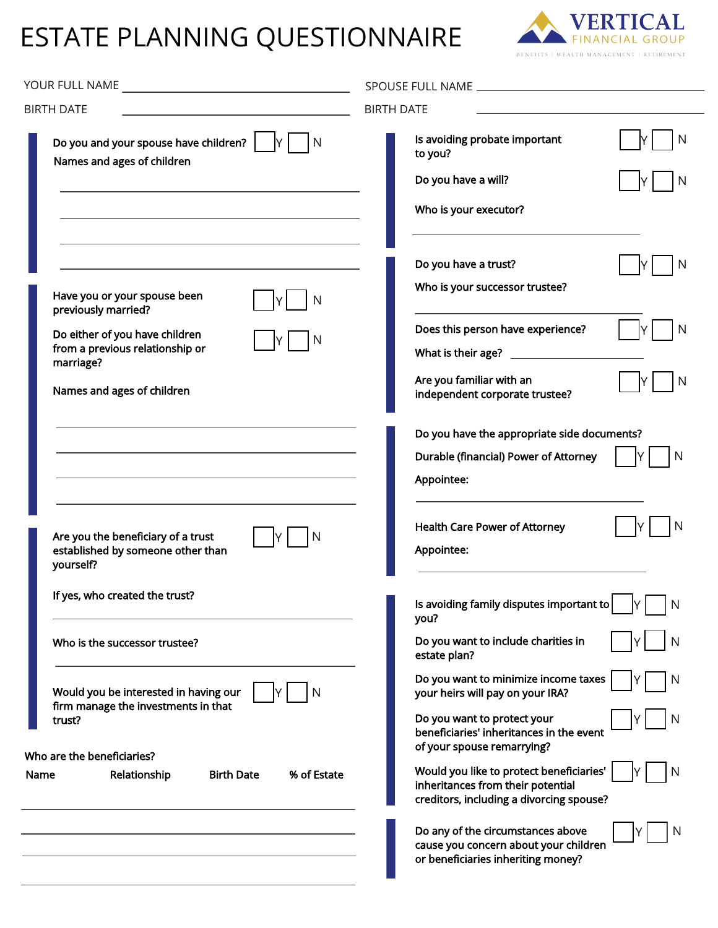## ESTATE PLANNING QUESTIONNAIRE



| <b>BIRTH DATE</b>                                                                                                                                                                     | <b>BIRTH DATE</b>                                                                                                                                                                                                                                                                                                                   |
|---------------------------------------------------------------------------------------------------------------------------------------------------------------------------------------|-------------------------------------------------------------------------------------------------------------------------------------------------------------------------------------------------------------------------------------------------------------------------------------------------------------------------------------|
| Do you and your spouse have children?  <br> Y <br>N<br>Names and ages of children                                                                                                     | Is avoiding probate important<br>N<br>to you?<br>Do you have a will?<br>N<br>Who is your executor?                                                                                                                                                                                                                                  |
| Have you or your spouse been<br>N<br>previously married?<br>Do either of you have children<br>N<br>from a previous relationship or<br>marriage?<br>Names and ages of children         | Do you have a trust?<br>N<br>Who is your successor trustee?<br>Does this person have experience?<br>N<br>Are you familiar with an<br>N<br>IY                                                                                                                                                                                        |
| Are you the beneficiary of a trust<br>N<br>IY.<br>established by someone other than<br>yourself?                                                                                      | independent corporate trustee?<br>Do you have the appropriate side documents?<br>Durable (financial) Power of Attorney<br>N<br>Appointee:<br><b>Health Care Power of Attorney</b><br>Appointee:                                                                                                                                     |
| If yes, who created the trust?<br>Who is the successor trustee?                                                                                                                       | Is avoiding family disputes important to<br>N<br>you?<br>Do you want to include charities in                                                                                                                                                                                                                                        |
| Would you be interested in having our<br>Ν<br>firm manage the investments in that<br>trust?<br>Who are the beneficiaries?<br>% of Estate<br>Relationship<br><b>Birth Date</b><br>Name | estate plan?<br>Do you want to minimize income taxes<br>your heirs will pay on your IRA?<br>Do you want to protect your<br>beneficiaries' inheritances in the event<br>of your spouse remarrying?<br>Would you like to protect beneficiaries'<br>N<br>inheritances from their potential<br>creditors, including a divorcing spouse? |
|                                                                                                                                                                                       | Do any of the circumstances above<br>cause you concern about your children<br>or beneficiaries inheriting money?                                                                                                                                                                                                                    |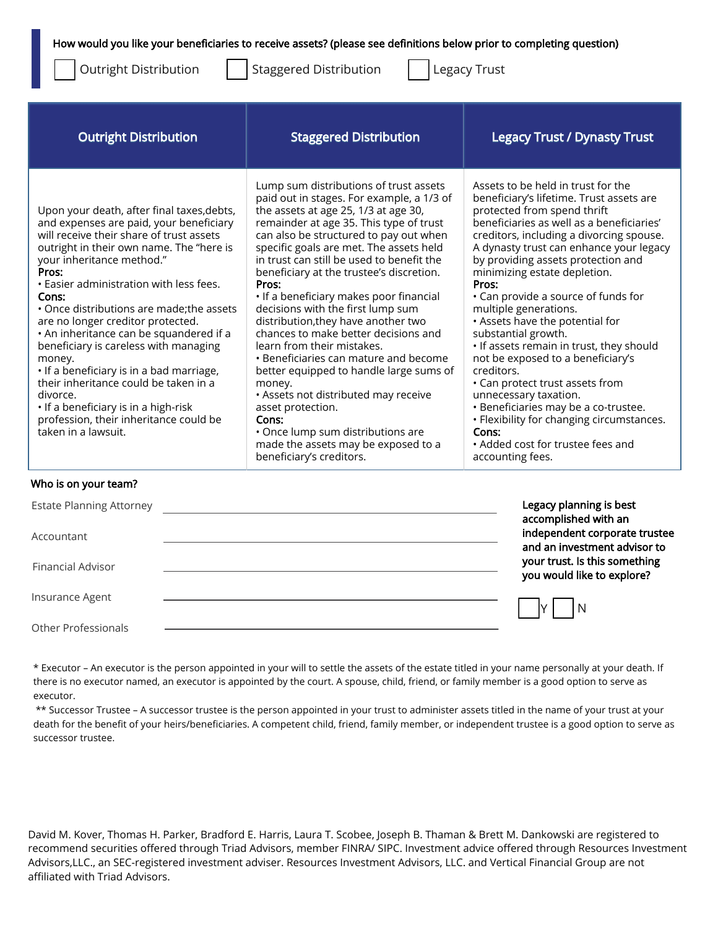How would you like your beneficiaries to receive assets? (please see definitions below prior to completing question)

Outright Distribution

Staggered Distribution | Legacy Trust

| <b>Outright Distribution</b>                                                                                                                                                                                                                                                                                                                                                                                                                                                                                                                                                                                                                                      | <b>Staggered Distribution</b>                                                                                                                                                                                                                                                                                                                                                                                                                                                                                                                                                                                                                                                                                                                                                                                                          | <b>Legacy Trust / Dynasty Trust</b>                                                                                                                                                                                                                                                                                                                                                                                                                                                                                                                                                                                                                                                                                                                                          |
|-------------------------------------------------------------------------------------------------------------------------------------------------------------------------------------------------------------------------------------------------------------------------------------------------------------------------------------------------------------------------------------------------------------------------------------------------------------------------------------------------------------------------------------------------------------------------------------------------------------------------------------------------------------------|----------------------------------------------------------------------------------------------------------------------------------------------------------------------------------------------------------------------------------------------------------------------------------------------------------------------------------------------------------------------------------------------------------------------------------------------------------------------------------------------------------------------------------------------------------------------------------------------------------------------------------------------------------------------------------------------------------------------------------------------------------------------------------------------------------------------------------------|------------------------------------------------------------------------------------------------------------------------------------------------------------------------------------------------------------------------------------------------------------------------------------------------------------------------------------------------------------------------------------------------------------------------------------------------------------------------------------------------------------------------------------------------------------------------------------------------------------------------------------------------------------------------------------------------------------------------------------------------------------------------------|
| Upon your death, after final taxes, debts,<br>and expenses are paid, your beneficiary<br>will receive their share of trust assets<br>outright in their own name. The "here is<br>your inheritance method."<br>Pros:<br>. Easier administration with less fees.<br>Cons:<br>• Once distributions are made; the assets<br>are no longer creditor protected.<br>. An inheritance can be squandered if a<br>beneficiary is careless with managing<br>money.<br>• If a beneficiary is in a bad marriage,<br>their inheritance could be taken in a<br>divorce.<br>. If a beneficiary is in a high-risk<br>profession, their inheritance could be<br>taken in a lawsuit. | Lump sum distributions of trust assets<br>paid out in stages. For example, a 1/3 of<br>the assets at age 25, 1/3 at age 30,<br>remainder at age 35. This type of trust<br>can also be structured to pay out when<br>specific goals are met. The assets held<br>in trust can still be used to benefit the<br>beneficiary at the trustee's discretion.<br>Pros:<br>• If a beneficiary makes poor financial<br>decisions with the first lump sum<br>distribution, they have another two<br>chances to make better decisions and<br>learn from their mistakes.<br>• Beneficiaries can mature and become<br>better equipped to handle large sums of<br>money.<br>• Assets not distributed may receive<br>asset protection.<br>Cons:<br>• Once lump sum distributions are<br>made the assets may be exposed to a<br>beneficiary's creditors. | Assets to be held in trust for the<br>beneficiary's lifetime. Trust assets are<br>protected from spend thrift<br>beneficiaries as well as a beneficiaries'<br>creditors, including a divorcing spouse.<br>A dynasty trust can enhance your legacy<br>by providing assets protection and<br>minimizing estate depletion.<br>Pros:<br>• Can provide a source of funds for<br>multiple generations.<br>• Assets have the potential for<br>substantial growth.<br>. If assets remain in trust, they should<br>not be exposed to a beneficiary's<br>creditors.<br>• Can protect trust assets from<br>unnecessary taxation.<br>· Beneficiaries may be a co-trustee.<br>• Flexibility for changing circumstances.<br>Cons:<br>• Added cost for trustee fees and<br>accounting fees. |

## Who is on your team?

| <b>Estate Planning Attorney</b> | Legacy planning is best<br>accomplished with an               |
|---------------------------------|---------------------------------------------------------------|
| Accountant                      | independent corporate trustee<br>and an investment advisor to |
| <b>Financial Advisor</b>        | your trust. Is this something<br>you would like to explore?   |
| Insurance Agent                 | -N                                                            |
| Other Professionals             |                                                               |

\* Executor – An executor is the person appointed in your will to settle the assets of the estate titled in your name personally at your death. If there is no executor named, an executor is appointed by the court. A spouse, child, friend, or family member is a good option to serve as executor.

\*\* Successor Trustee – A successor trustee is the person appointed in your trust to administer assets titled in the name of your trust at your death for the benefit of your heirs/beneficiaries. A competent child, friend, family member, or independent trustee is a good option to serve as successor trustee.

David M. Kover, Thomas H. Parker, Bradford E. Harris, Laura T. Scobee, Joseph B. Thaman & Brett M. Dankowski are registered to recommend securities offered through Triad Advisors, member FINRA/ SIPC. Investment advice offered through Resources Investment Advisors,LLC., an SEC-registered investment adviser. Resources Investment Advisors, LLC. and Vertical Financial Group are not affiliated with Triad Advisors.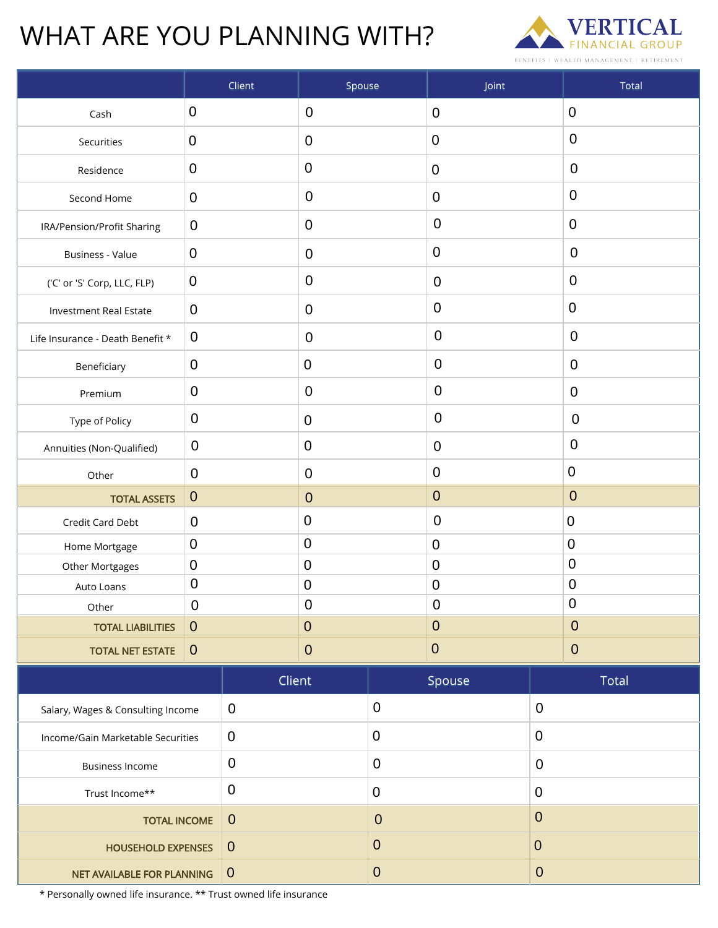## WHAT ARE YOU PLANNING WITH?



|                                     |                  | Client           | Spouse           |                  | Joint            |                  | Total            |  |
|-------------------------------------|------------------|------------------|------------------|------------------|------------------|------------------|------------------|--|
| Cash                                | $\mathbf 0$      |                  | $\mathbf 0$      |                  | $\boldsymbol{0}$ |                  | $\boldsymbol{0}$ |  |
| Securities                          | $\mathbf 0$      |                  | $\mathbf 0$      |                  | $\mathbf 0$      |                  | $\mathbf 0$      |  |
| Residence                           | $\pmb{0}$        |                  | $\pmb{0}$        |                  | $\mathbf 0$      |                  | $\mathbf 0$      |  |
| Second Home                         | $\mathbf 0$      |                  | $\mathbf 0$      |                  | $\mathbf 0$      |                  | $\mathbf 0$      |  |
| IRA/Pension/Profit Sharing          | $\mathbf 0$      |                  | $\mathbf 0$      |                  | $\mathbf 0$      |                  | $\mathbf 0$      |  |
| Business - Value                    | $\mathbf 0$      |                  | $\mathbf 0$      |                  | $\mathbf 0$      |                  | $\mathbf 0$      |  |
| ('C' or 'S' Corp, LLC, FLP)         | $\boldsymbol{0}$ |                  | $\mathbf 0$      |                  | $\mathbf 0$      |                  | $\mathbf 0$      |  |
| Investment Real Estate              | $\mathbf 0$      |                  | 0                |                  | $\mathbf 0$      |                  | $\mathbf 0$      |  |
| Life Insurance - Death Benefit *    | $\mathbf 0$      |                  | $\mathbf 0$      |                  | $\pmb{0}$        |                  | $\mathbf 0$      |  |
| Beneficiary                         | $\mathbf 0$      |                  | 0                |                  | $\pmb{0}$        |                  | $\mathbf 0$      |  |
| Premium                             | $\mathbf 0$      |                  | $\mathbf 0$      |                  | $\pmb{0}$        |                  | $\mathbf 0$      |  |
| Type of Policy                      | $\overline{0}$   |                  | $\pmb{0}$        |                  | $\pmb{0}$        |                  | $\mathbf 0$      |  |
| Annuities (Non-Qualified)           | $\mathbf 0$      |                  | $\pmb{0}$        |                  | $\pmb{0}$        |                  | $\mathbf 0$      |  |
| Other                               | $\mathbf 0$      |                  | $\mathbf 0$      |                  | $\mathbf 0$      |                  | $\boldsymbol{0}$ |  |
| <b>TOTAL ASSETS</b>                 | $\mathbf{0}$     |                  | $\boldsymbol{0}$ |                  | $\boldsymbol{0}$ |                  | $\mathbf 0$      |  |
| Credit Card Debt                    |                  |                  | 0                |                  | $\mathbf 0$      |                  | $\mathbf 0$      |  |
| Home Mortgage                       |                  |                  | $\boldsymbol{0}$ |                  | $\mathbf 0$      |                  | $\mathbf 0$      |  |
| Other Mortgages                     |                  |                  | 0                |                  | $\pmb{0}$        |                  | $\mathbf 0$      |  |
| Auto Loans                          | $\pmb{0}$        |                  | $\boldsymbol{0}$ |                  | $\mathbf 0$      |                  | $\mathbf 0$      |  |
| Other                               | $\mathbf 0$      |                  | $\pmb{0}$        |                  | $\pmb{0}$        |                  | $\pmb{0}$        |  |
| <b>TOTAL LIABILITIES</b>            | $\mathbf 0$      |                  | $\pmb{0}$        |                  | $\pmb{0}$        |                  | $\boldsymbol{0}$ |  |
| <b>TOTAL NET ESTATE</b>             | $\theta$         |                  | $\boldsymbol{0}$ |                  | $\pmb{0}$        |                  | $\boldsymbol{0}$ |  |
|                                     |                  | Client           |                  |                  | Spouse           |                  | Total            |  |
| Salary, Wages & Consulting Income   |                  | $\overline{0}$   |                  | $\boldsymbol{0}$ |                  | $\pmb{0}$        |                  |  |
| Income/Gain Marketable Securities   |                  | $\pmb{0}$        |                  | $\boldsymbol{0}$ |                  | $\pmb{0}$        |                  |  |
| $\pmb{0}$<br><b>Business Income</b> |                  |                  | $\boldsymbol{0}$ |                  |                  | $\pmb{0}$        |                  |  |
| $\boldsymbol{0}$<br>Trust Income**  |                  |                  | $\pmb{0}$        |                  | $\mathbf 0$      |                  |                  |  |
| <b>TOTAL INCOME</b>                 |                  | $\boldsymbol{0}$ |                  | $\boldsymbol{0}$ |                  | $\boldsymbol{0}$ |                  |  |
| <b>HOUSEHOLD EXPENSES</b>           |                  | $\mathbf{0}$     |                  | $\pmb{0}$        |                  | $\pmb{0}$        |                  |  |
| NET AVAILABLE FOR PLANNING          |                  | $\mathbf{0}$     |                  | $\boldsymbol{0}$ |                  | $\pmb{0}$        |                  |  |

\* Personally owned life insurance. \*\* Trust owned life insurance